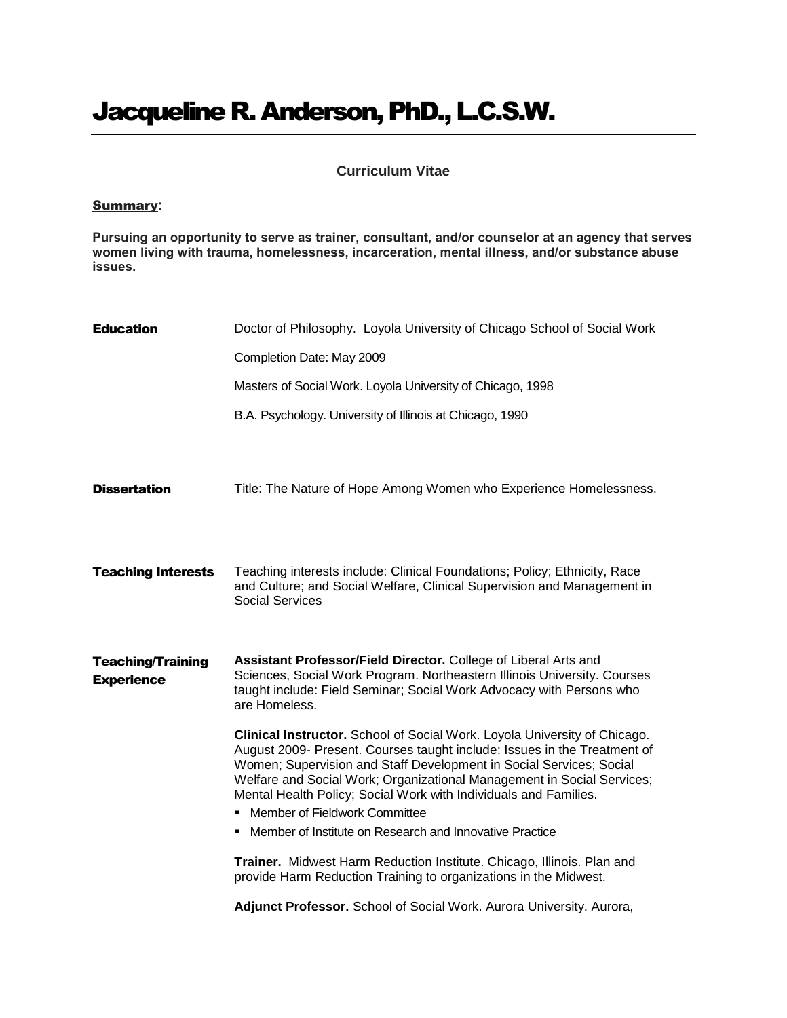## Jacqueline R. Anderson, PhD., L.C.S.W.

## **Curriculum Vitae**

## Summary**:**

**Pursuing an opportunity to serve as trainer, consultant, and/or counselor at an agency that serves women living with trauma, homelessness, incarceration, mental illness, and/or substance abuse issues.** 

| <b>Education</b>                              | Doctor of Philosophy. Loyola University of Chicago School of Social Work                                                                                                                                                                                                                                                                                                   |
|-----------------------------------------------|----------------------------------------------------------------------------------------------------------------------------------------------------------------------------------------------------------------------------------------------------------------------------------------------------------------------------------------------------------------------------|
|                                               | Completion Date: May 2009                                                                                                                                                                                                                                                                                                                                                  |
|                                               | Masters of Social Work. Loyola University of Chicago, 1998                                                                                                                                                                                                                                                                                                                 |
|                                               | B.A. Psychology. University of Illinois at Chicago, 1990                                                                                                                                                                                                                                                                                                                   |
| <b>Dissertation</b>                           | Title: The Nature of Hope Among Women who Experience Homelessness.                                                                                                                                                                                                                                                                                                         |
| <b>Teaching Interests</b>                     | Teaching interests include: Clinical Foundations; Policy; Ethnicity, Race<br>and Culture; and Social Welfare, Clinical Supervision and Management in<br><b>Social Services</b>                                                                                                                                                                                             |
| <b>Teaching/Training</b><br><b>Experience</b> | Assistant Professor/Field Director. College of Liberal Arts and<br>Sciences, Social Work Program. Northeastern Illinois University. Courses<br>taught include: Field Seminar; Social Work Advocacy with Persons who<br>are Homeless.                                                                                                                                       |
|                                               | Clinical Instructor. School of Social Work. Loyola University of Chicago.<br>August 2009- Present. Courses taught include: Issues in the Treatment of<br>Women; Supervision and Staff Development in Social Services; Social<br>Welfare and Social Work; Organizational Management in Social Services;<br>Mental Health Policy; Social Work with Individuals and Families. |
|                                               | Member of Fieldwork Committee                                                                                                                                                                                                                                                                                                                                              |
|                                               | • Member of Institute on Research and Innovative Practice                                                                                                                                                                                                                                                                                                                  |
|                                               | Trainer. Midwest Harm Reduction Institute. Chicago, Illinois. Plan and<br>provide Harm Reduction Training to organizations in the Midwest.                                                                                                                                                                                                                                 |
|                                               | Adjunct Professor. School of Social Work. Aurora University. Aurora,                                                                                                                                                                                                                                                                                                       |